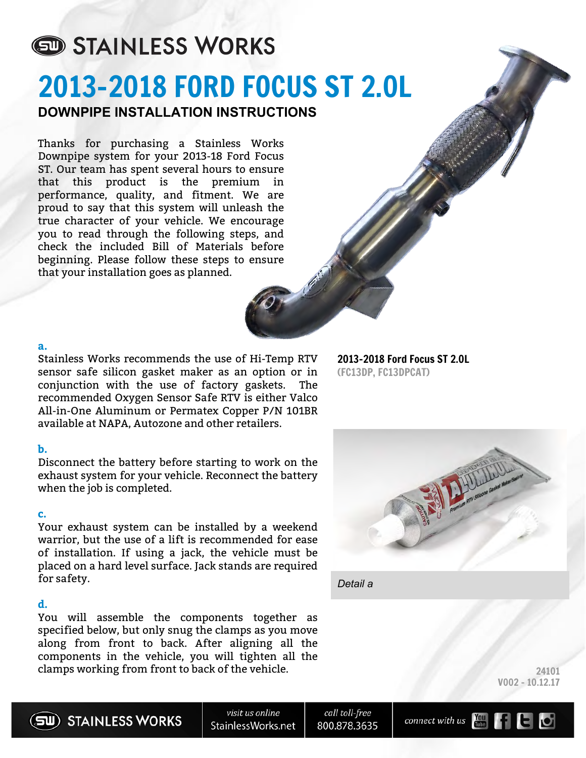# STAINLESS WORKS 2013-2018 FORD FOCUS ST 2.0L **DOWNPIPE INSTALLATION INSTRUCTIONS**

Thanks for purchasing a Stainless Works Downpipe system for your 2013-18 Ford Focus ST. Our team has spent several hours to ensure that this product is the premium in performance, quality, and fitment. We are proud to say that this system will unleash the true character of your vehicle. We encourage you to read through the following steps, and check the included Bill of Materials before beginning. Please follow these steps to ensure that your installation goes as planned.

#### **a.**

Stainless Works recommends the use of Hi-Temp RTV sensor safe silicon gasket maker as an option or in conjunction with the use of factory gaskets. The recommended Oxygen Sensor Safe RTV is either Valco All-in-One Aluminum or Permatex Copper P/N 101BR available at NAPA, Autozone and other retailers.

#### **b.**

Disconnect the battery before starting to work on the exhaust system for your vehicle. Reconnect the battery when the job is completed.

#### **c.**

Your exhaust system can be installed by a weekend warrior, but the use of a lift is recommended for ease of installation. If using a jack, the vehicle must be placed on a hard level surface. Jack stands are required for safety.

#### **d.**

You will assemble the components together as specified below, but only snug the clamps as you move along from front to back. After aligning all the components in the vehicle, you will tighten all the clamps working from front to back of the vehicle.

2013-2018 Ford Focus ST 2.0L (FC13DP, FC13DPCAT)



*Detail a*

24101 V002 - 10.12.17



SU) STAINLESS WORKS

visit us online StainlessWorks.net

call toll-free 800.878.3635



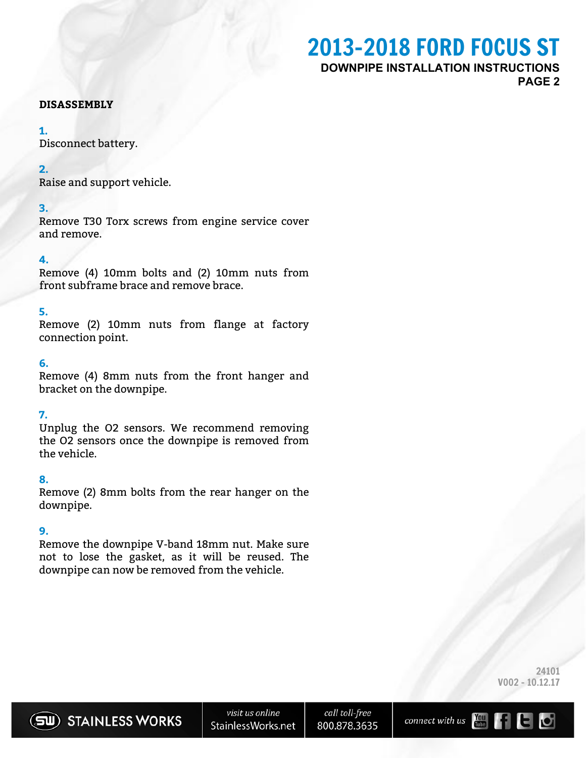## 2013-2018 FORD FOCUS ST **DOWNPIPE INSTALLATION INSTRUCTIONS PAGE 2**

#### **DISASSEMBLY**

#### **1.**

Disconnect battery.

#### **2.**

Raise and support vehicle.

#### **3.**

Remove T30 Torx screws from engine service cover and remove.

#### **4.**

Remove (4) 10mm bolts and (2) 10mm nuts from front subframe brace and remove brace.

### **5.**

Remove (2) 10mm nuts from flange at factory connection point.

#### **6.**

Remove (4) 8mm nuts from the front hanger and bracket on the downpipe.

#### **7.**

Unplug the O2 sensors. We recommend removing the O2 sensors once the downpipe is removed from the vehicle.

#### **8.**

Remove (2) 8mm bolts from the rear hanger on the downpipe.

### **9.**

Remove the downpipe V-band 18mm nut. Make sure not to lose the gasket, as it will be reused. The downpipe can now be removed from the vehicle.

> 24101 V002 - 10.12.17